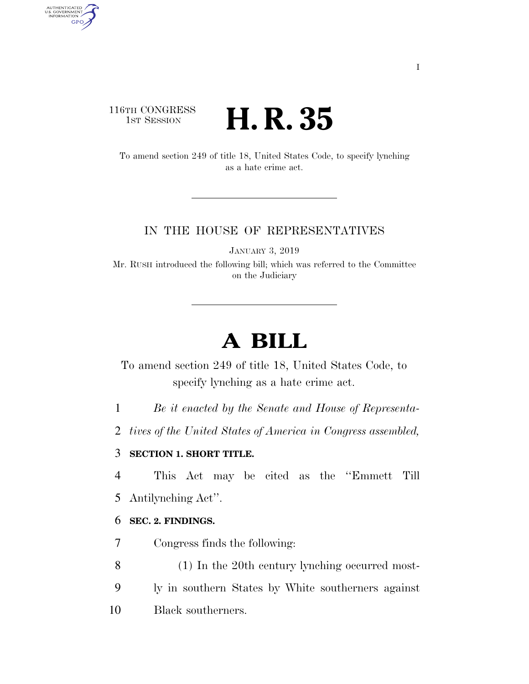# 116TH CONGRESS <sup>TH CONGRESS</sup> **H. R. 35**

AUTHENTICATED<br>U.S. GOVERNMENT<br>INFORMATION

**GPO** 

To amend section 249 of title 18, United States Code, to specify lynching as a hate crime act.

### IN THE HOUSE OF REPRESENTATIVES

JANUARY 3, 2019

Mr. RUSH introduced the following bill; which was referred to the Committee on the Judiciary

# **A BILL**

To amend section 249 of title 18, United States Code, to specify lynching as a hate crime act.

1 *Be it enacted by the Senate and House of Representa-*

2 *tives of the United States of America in Congress assembled,* 

# 3 **SECTION 1. SHORT TITLE.**

4 This Act may be cited as the ''Emmett Till

5 Antilynching Act''.

### 6 **SEC. 2. FINDINGS.**

7 Congress finds the following:

8 (1) In the 20th century lynching occurred most-

9 ly in southern States by White southerners against

10 Black southerners.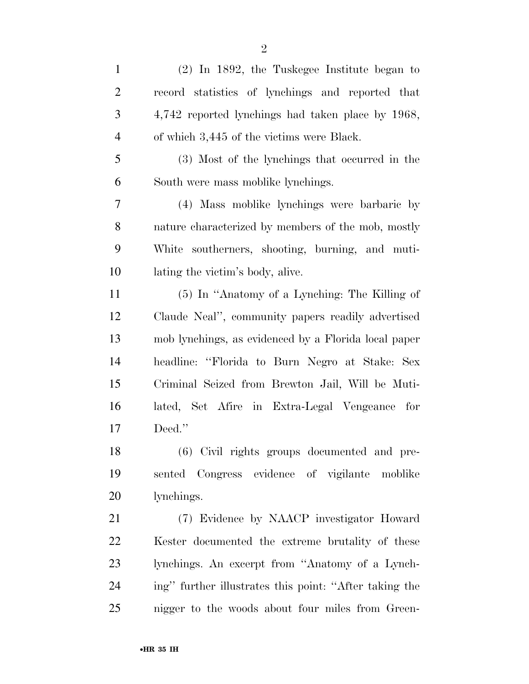| $\mathbf{1}$   | $(2)$ In 1892, the Tuskegee Institute began to         |
|----------------|--------------------------------------------------------|
| $\overline{2}$ | record statistics of lynchings and reported that       |
| 3              | 4,742 reported lynchings had taken place by 1968,      |
| $\overline{4}$ | of which 3,445 of the victims were Black.              |
| 5              | (3) Most of the lynchings that occurred in the         |
| 6              | South were mass moblike lynchings.                     |
| $\overline{7}$ | (4) Mass moblike lynchings were barbaric by            |
| 8              | nature characterized by members of the mob, mostly     |
| 9              | White southerners, shooting, burning, and muti-        |
| 10             | lating the victim's body, alive.                       |
| 11             | (5) In "Anatomy of a Lynching: The Killing of          |
| 12             | Claude Neal", community papers readily advertised      |
| 13             | mob lynchings, as evidenced by a Florida local paper   |
| 14             | headline: "Florida to Burn Negro at Stake: Sex         |
| 15             | Criminal Seized from Brewton Jail, Will be Muti-       |
| 16             | lated, Set Afire in Extra-Legal Vengeance for          |
| 17             | Deed."                                                 |
| 18             | (6) Civil rights groups documented and pre-            |
| 19             | sented Congress evidence of vigilante moblike          |
| 20             | lynchings.                                             |
| 21             | (7) Evidence by NAACP investigator Howard              |
| 22             | Kester documented the extreme brutality of these       |
| 23             | lynchings. An excerpt from "Anatomy of a Lynch-        |
| 24             | ing" further illustrates this point: "After taking the |
| 25             | nigger to the woods about four miles from Green-       |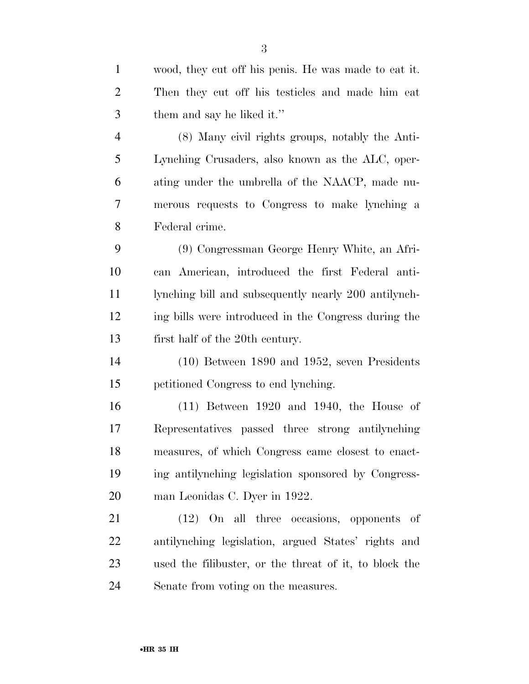wood, they cut off his penis. He was made to eat it. Then they cut off his testicles and made him eat them and say he liked it.'' (8) Many civil rights groups, notably the Anti-

 Lynching Crusaders, also known as the ALC, oper- ating under the umbrella of the NAACP, made nu- merous requests to Congress to make lynching a Federal crime.

 (9) Congressman George Henry White, an Afri- can American, introduced the first Federal anti- lynching bill and subsequently nearly 200 antilynch- ing bills were introduced in the Congress during the first half of the 20th century.

 (10) Between 1890 and 1952, seven Presidents petitioned Congress to end lynching.

 (11) Between 1920 and 1940, the House of Representatives passed three strong antilynching measures, of which Congress came closest to enact- ing antilynching legislation sponsored by Congress-man Leonidas C. Dyer in 1922.

 (12) On all three occasions, opponents of antilynching legislation, argued States' rights and used the filibuster, or the threat of it, to block the Senate from voting on the measures.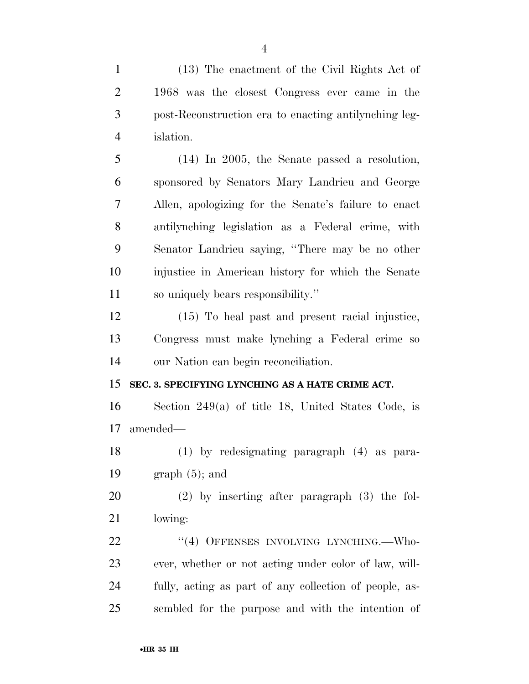(13) The enactment of the Civil Rights Act of 1968 was the closest Congress ever came in the post-Reconstruction era to enacting antilynching leg-islation.

 (14) In 2005, the Senate passed a resolution, sponsored by Senators Mary Landrieu and George Allen, apologizing for the Senate's failure to enact antilynching legislation as a Federal crime, with Senator Landrieu saying, ''There may be no other injustice in American history for which the Senate so uniquely bears responsibility.''

 (15) To heal past and present racial injustice, Congress must make lynching a Federal crime so our Nation can begin reconciliation.

## **SEC. 3. SPECIFYING LYNCHING AS A HATE CRIME ACT.**

 Section 249(a) of title 18, United States Code, is amended—

 (1) by redesignating paragraph (4) as para-19 graph  $(5)$ ; and

 (2) by inserting after paragraph (3) the fol-lowing:

22 "(4) OFFENSES INVOLVING LYNCHING.—Who- ever, whether or not acting under color of law, will- fully, acting as part of any collection of people, as-sembled for the purpose and with the intention of